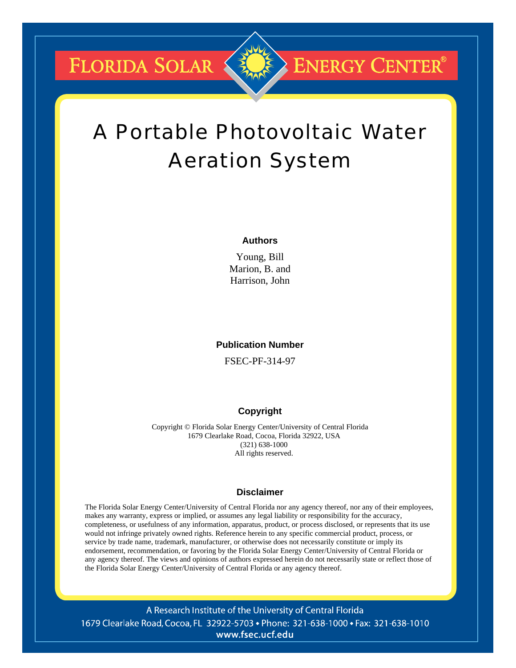**FLORIDA SOLAR &** 

# A Portable Photovoltaic Water Aeration System

**ENERGY CENTER®** 

#### **Authors**

Young, Bill Marion, B. and Harrison, John

#### **Publication Number**

FSEC-PF-314-97

#### **Copyright**

Copyright © Florida Solar Energy Center/University of Central Florida 1679 Clearlake Road, Cocoa, Florida 32922, USA (321) 638-1000 All rights reserved.

### **Disclaimer**

The Florida Solar Energy Center/University of Central Florida nor any agency thereof, nor any of their employees, makes any warranty, express or implied, or assumes any legal liability or responsibility for the accuracy, completeness, or usefulness of any information, apparatus, product, or process disclosed, or represents that its use would not infringe privately owned rights. Reference herein to any specific commercial product, process, or service by trade name, trademark, manufacturer, or otherwise does not necessarily constitute or imply its endorsement, recommendation, or favoring by the Florida Solar Energy Center/University of Central Florida or any agency thereof. The views and opinions of authors expressed herein do not necessarily state or reflect those of the Florida Solar Energy Center/University of Central Florida or any agency thereof.

A Research Institute of the University of Central Florida 1679 Clearlake Road, Cocoa, FL 32922-5703 • Phone: 321-638-1000 • Fax: 321-638-1010 www.fsec.ucf.edu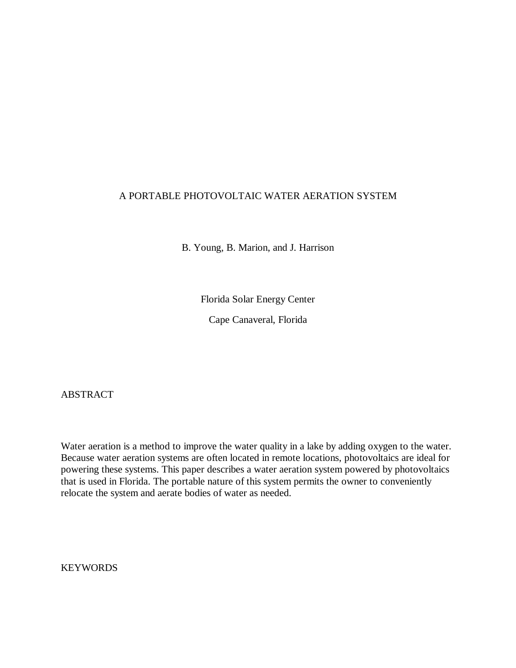# A PORTABLE PHOTOVOLTAIC WATER AERATION SYSTEM

B. Young, B. Marion, and J. Harrison

Florida Solar Energy Center Cape Canaveral, Florida

ABSTRACT

Water aeration is a method to improve the water quality in a lake by adding oxygen to the water. Because water aeration systems are often located in remote locations, photovoltaics are ideal for powering these systems. This paper describes a water aeration system powered by photovoltaics that is used in Florida. The portable nature of this system permits the owner to conveniently relocate the system and aerate bodies of water as needed.

KEYWORDS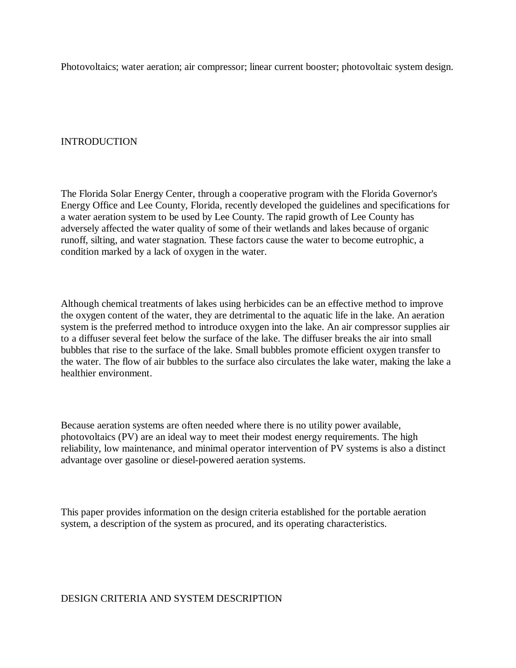Photovoltaics; water aeration; air compressor; linear current booster; photovoltaic system design.

# INTRODUCTION

The Florida Solar Energy Center, through a cooperative program with the Florida Governor's Energy Office and Lee County, Florida, recently developed the guidelines and specifications for a water aeration system to be used by Lee County. The rapid growth of Lee County has adversely affected the water quality of some of their wetlands and lakes because of organic runoff, silting, and water stagnation. These factors cause the water to become eutrophic, a condition marked by a lack of oxygen in the water.

Although chemical treatments of lakes using herbicides can be an effective method to improve the oxygen content of the water, they are detrimental to the aquatic life in the lake. An aeration system is the preferred method to introduce oxygen into the lake. An air compressor supplies air to a diffuser several feet below the surface of the lake. The diffuser breaks the air into small bubbles that rise to the surface of the lake. Small bubbles promote efficient oxygen transfer to the water. The flow of air bubbles to the surface also circulates the lake water, making the lake a healthier environment.

Because aeration systems are often needed where there is no utility power available, photovoltaics (PV) are an ideal way to meet their modest energy requirements. The high reliability, low maintenance, and minimal operator intervention of PV systems is also a distinct advantage over gasoline or diesel-powered aeration systems.

This paper provides information on the design criteria established for the portable aeration system, a description of the system as procured, and its operating characteristics.

# DESIGN CRITERIA AND SYSTEM DESCRIPTION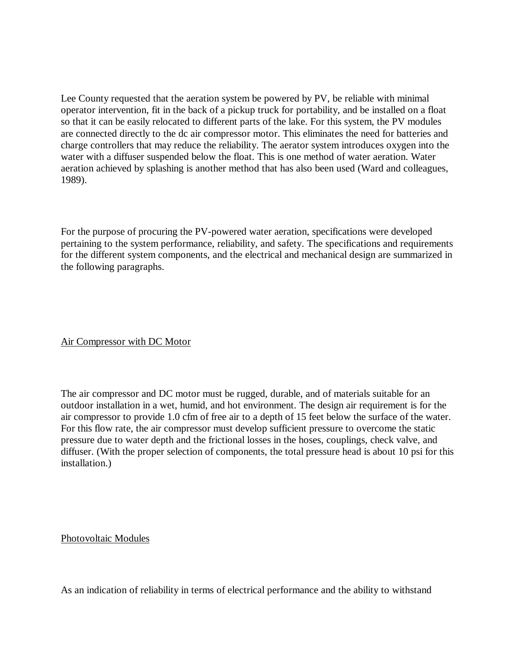Lee County requested that the aeration system be powered by PV, be reliable with minimal operator intervention, fit in the back of a pickup truck for portability, and be installed on a float so that it can be easily relocated to different parts of the lake. For this system, the PV modules are connected directly to the dc air compressor motor. This eliminates the need for batteries and charge controllers that may reduce the reliability. The aerator system introduces oxygen into the water with a diffuser suspended below the float. This is one method of water aeration. Water aeration achieved by splashing is another method that has also been used (Ward and colleagues, 1989).

For the purpose of procuring the PV-powered water aeration, specifications were developed pertaining to the system performance, reliability, and safety. The specifications and requirements for the different system components, and the electrical and mechanical design are summarized in the following paragraphs.

# Air Compressor with DC Motor

The air compressor and DC motor must be rugged, durable, and of materials suitable for an outdoor installation in a wet, humid, and hot environment. The design air requirement is for the air compressor to provide 1.0 cfm of free air to a depth of 15 feet below the surface of the water. For this flow rate, the air compressor must develop sufficient pressure to overcome the static pressure due to water depth and the frictional losses in the hoses, couplings, check valve, and diffuser. (With the proper selection of components, the total pressure head is about 10 psi for this installation.)

# Photovoltaic Modules

As an indication of reliability in terms of electrical performance and the ability to withstand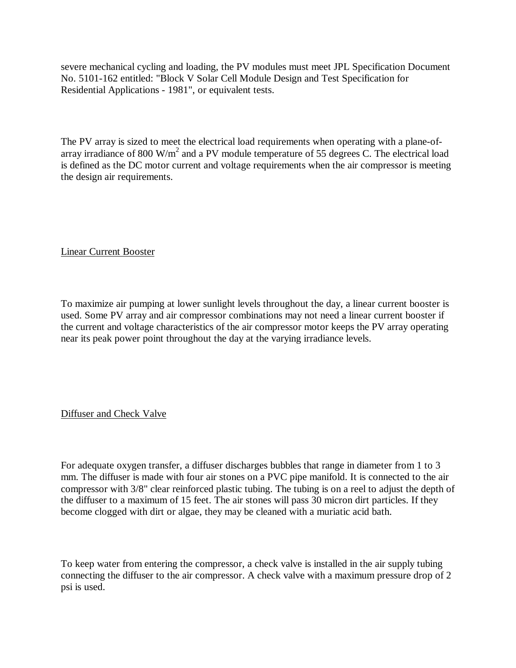severe mechanical cycling and loading, the PV modules must meet JPL Specification Document No. 5101-162 entitled: "Block V Solar Cell Module Design and Test Specification for Residential Applications - 1981", or equivalent tests.

The PV array is sized to meet the electrical load requirements when operating with a plane-ofarray irradiance of 800 W/m<sup>2</sup> and a PV module temperature of 55 degrees C. The electrical load is defined as the DC motor current and voltage requirements when the air compressor is meeting the design air requirements.

Linear Current Booster

To maximize air pumping at lower sunlight levels throughout the day, a linear current booster is used. Some PV array and air compressor combinations may not need a linear current booster if the current and voltage characteristics of the air compressor motor keeps the PV array operating near its peak power point throughout the day at the varying irradiance levels.

# Diffuser and Check Valve

For adequate oxygen transfer, a diffuser discharges bubbles that range in diameter from 1 to 3 mm. The diffuser is made with four air stones on a PVC pipe manifold. It is connected to the air compressor with 3/8" clear reinforced plastic tubing. The tubing is on a reel to adjust the depth of the diffuser to a maximum of 15 feet. The air stones will pass 30 micron dirt particles. If they become clogged with dirt or algae, they may be cleaned with a muriatic acid bath.

To keep water from entering the compressor, a check valve is installed in the air supply tubing connecting the diffuser to the air compressor. A check valve with a maximum pressure drop of 2 psi is used.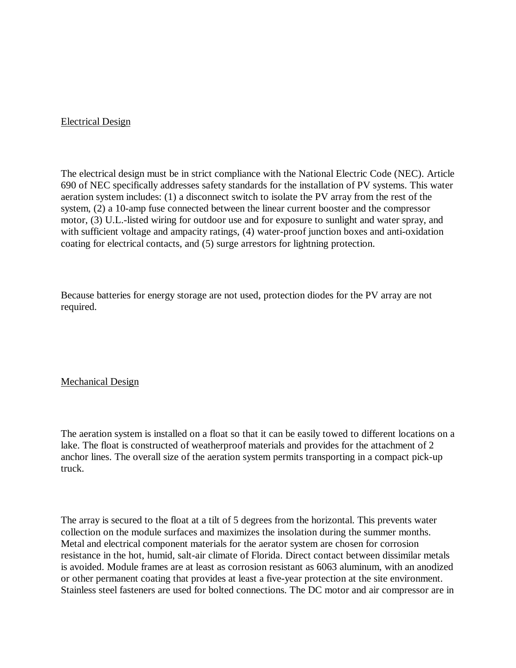# Electrical Design

The electrical design must be in strict compliance with the National Electric Code (NEC). Article 690 of NEC specifically addresses safety standards for the installation of PV systems. This water aeration system includes: (1) a disconnect switch to isolate the PV array from the rest of the system, (2) a 10-amp fuse connected between the linear current booster and the compressor motor, (3) U.L.-listed wiring for outdoor use and for exposure to sunlight and water spray, and with sufficient voltage and ampacity ratings, (4) water-proof junction boxes and anti-oxidation coating for electrical contacts, and (5) surge arrestors for lightning protection.

Because batteries for energy storage are not used, protection diodes for the PV array are not required.

# Mechanical Design

The aeration system is installed on a float so that it can be easily towed to different locations on a lake. The float is constructed of weatherproof materials and provides for the attachment of 2 anchor lines. The overall size of the aeration system permits transporting in a compact pick-up truck.

The array is secured to the float at a tilt of 5 degrees from the horizontal. This prevents water collection on the module surfaces and maximizes the insolation during the summer months. Metal and electrical component materials for the aerator system are chosen for corrosion resistance in the hot, humid, salt-air climate of Florida. Direct contact between dissimilar metals is avoided. Module frames are at least as corrosion resistant as 6063 aluminum, with an anodized or other permanent coating that provides at least a five-year protection at the site environment. Stainless steel fasteners are used for bolted connections. The DC motor and air compressor are in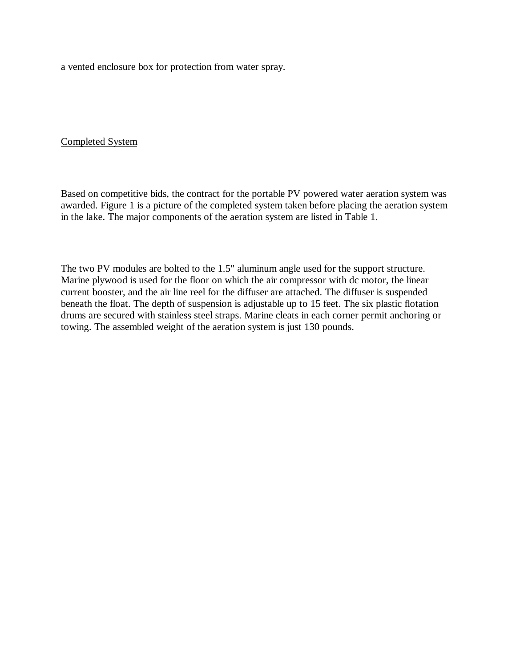a vented enclosure box for protection from water spray.

## Completed System

Based on competitive bids, the contract for the portable PV powered water aeration system was awarded. Figure 1 is a picture of the completed system taken before placing the aeration system in the lake. The major components of the aeration system are listed in Table 1.

The two PV modules are bolted to the 1.5" aluminum angle used for the support structure. Marine plywood is used for the floor on which the air compressor with dc motor, the linear current booster, and the air line reel for the diffuser are attached. The diffuser is suspended beneath the float. The depth of suspension is adjustable up to 15 feet. The six plastic flotation drums are secured with stainless steel straps. Marine cleats in each corner permit anchoring or towing. The assembled weight of the aeration system is just 130 pounds.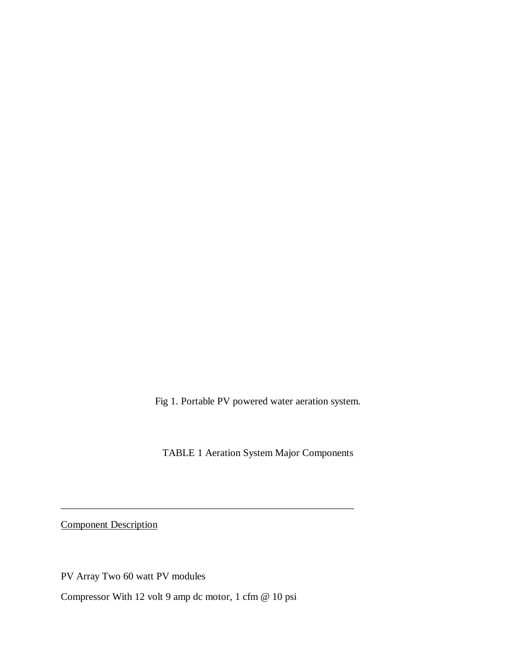Fig 1. Portable PV powered water aeration system.

TABLE 1 Aeration System Major Components

Component Description

PV Array Two 60 watt PV modules

Compressor With 12 volt 9 amp dc motor, 1 cfm @ 10 psi

\_\_\_\_\_\_\_\_\_\_\_\_\_\_\_\_\_\_\_\_\_\_\_\_\_\_\_\_\_\_\_\_\_\_\_\_\_\_\_\_\_\_\_\_\_\_\_\_\_\_\_\_\_\_\_\_\_\_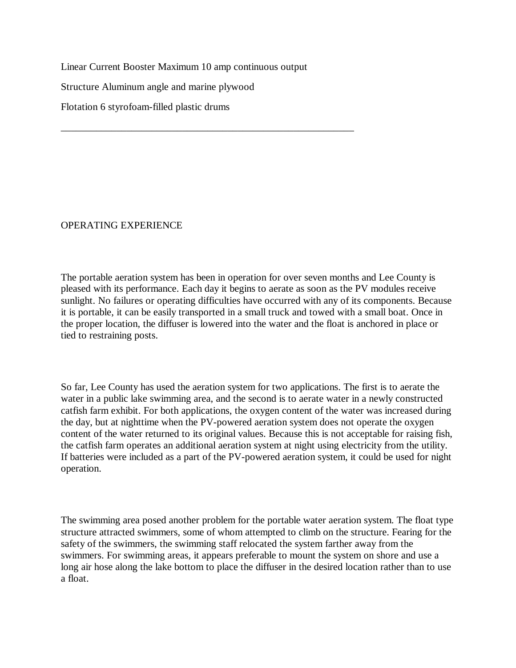Linear Current Booster Maximum 10 amp continuous output Structure Aluminum angle and marine plywood Flotation 6 styrofoam-filled plastic drums

\_\_\_\_\_\_\_\_\_\_\_\_\_\_\_\_\_\_\_\_\_\_\_\_\_\_\_\_\_\_\_\_\_\_\_\_\_\_\_\_\_\_\_\_\_\_\_\_\_\_\_\_\_\_\_\_\_\_

OPERATING EXPERIENCE

The portable aeration system has been in operation for over seven months and Lee County is pleased with its performance. Each day it begins to aerate as soon as the PV modules receive sunlight. No failures or operating difficulties have occurred with any of its components. Because it is portable, it can be easily transported in a small truck and towed with a small boat. Once in the proper location, the diffuser is lowered into the water and the float is anchored in place or tied to restraining posts.

So far, Lee County has used the aeration system for two applications. The first is to aerate the water in a public lake swimming area, and the second is to aerate water in a newly constructed catfish farm exhibit. For both applications, the oxygen content of the water was increased during the day, but at nighttime when the PV-powered aeration system does not operate the oxygen content of the water returned to its original values. Because this is not acceptable for raising fish, the catfish farm operates an additional aeration system at night using electricity from the utility. If batteries were included as a part of the PV-powered aeration system, it could be used for night operation.

The swimming area posed another problem for the portable water aeration system. The float type structure attracted swimmers, some of whom attempted to climb on the structure. Fearing for the safety of the swimmers, the swimming staff relocated the system farther away from the swimmers. For swimming areas, it appears preferable to mount the system on shore and use a long air hose along the lake bottom to place the diffuser in the desired location rather than to use a float.